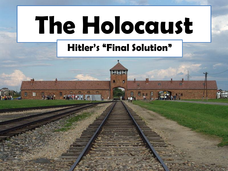# The Holocaust

#### Hitler's "Final Solution"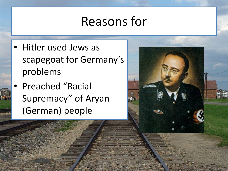#### Reasons for

- Hitler used Jews as scapegoat for Germany's problems
- Preached "Racial Supremacy" of Aryan (German) people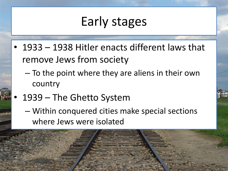### Early stages

- 1933 1938 Hitler enacts different laws that remove Jews from society
	- To the point where they are aliens in their own country
- 1939 The Ghetto System
	- Within conquered cities make special sections where Jews were isolated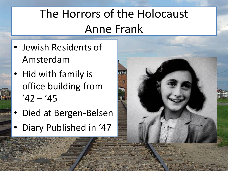### The Horrors of the Holocaust Anne Frank

- Jewish Residents of Amsterdam
- Hid with family is office building from  $'42 - '45$
- Died at Bergen-Belsen
- Diary Published in '47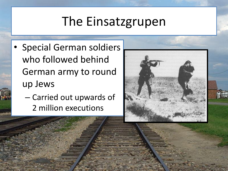#### The Einsatzgrupen

- Special German soldiers who followed behind German army to round up Jews
	- Carried out upwards of 2 million executions

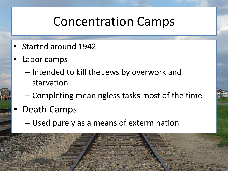#### Concentration Camps

- Started around 1942
- Labor camps
	- Intended to kill the Jews by overwork and starvation
	- Completing meaningless tasks most of the time
- Death Camps
	- Used purely as a means of extermination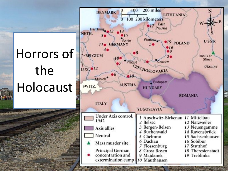## Horrors of the Holocaust

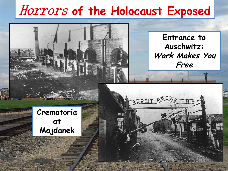### Horrors **of the Holocaust Exposed**

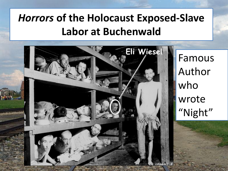#### *Horrors* **of the Holocaust Exposed-Slave Labor at Buchenwald**



Author who wrote "Night"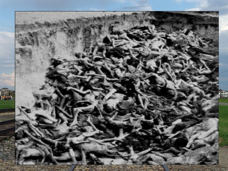